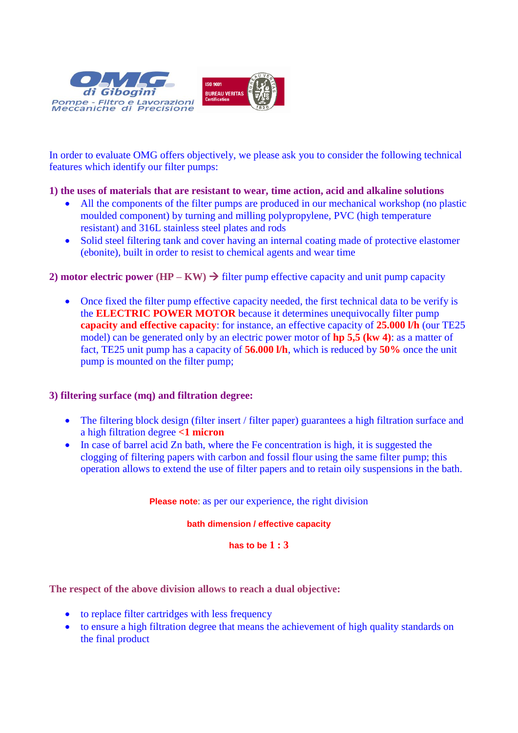

In order to evaluate OMG offers objectively, we please ask you to consider the following technical features which identify our filter pumps:

# **1) the uses of materials that are resistant to wear, time action, acid and alkaline solutions**

- All the components of the filter pumps are produced in our mechanical workshop (no plastic moulded component) by turning and milling polypropylene, PVC (high temperature resistant) and 316L stainless steel plates and rods
- Solid steel filtering tank and cover having an internal coating made of protective elastomer (ebonite), built in order to resist to chemical agents and wear time

# **2) motor electric power**  $(HP - KW) \rightarrow$  **filter pump effective capacity and unit pump capacity**

• Once fixed the filter pump effective capacity needed, the first technical data to be verify is the **ELECTRIC POWER MOTOR** because it determines unequivocally filter pump **capacity and effective capacity**: for instance, an effective capacity of **25.000 l/h** (our TE25 model) can be generated only by an electric power motor of **hp 5,5 (kw 4)**: as a matter of fact, TE25 unit pump has a capacity of **56.000 l/h**, which is reduced by **50%** once the unit pump is mounted on the filter pump;

### **3) filtering surface (mq) and filtration degree:**

- The filtering block design (filter insert / filter paper) guarantees a high filtration surface and a high filtration degree **<1 micron**
- In case of barrel acid Zn bath, where the Fe concentration is high, it is suggested the clogging of filtering papers with carbon and fossil flour using the same filter pump; this operation allows to extend the use of filter papers and to retain oily suspensions in the bath.

**Please note**: as per our experience, the right division

### **bath dimension / effective capacity**

**has to be 1 : 3**

**The respect of the above division allows to reach a dual objective:**

- to replace filter cartridges with less frequency
- to ensure a high filtration degree that means the achievement of high quality standards on the final product